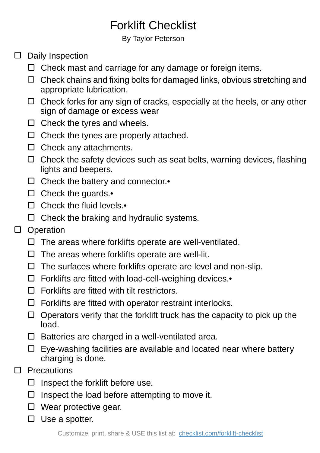## Forklift Checklist

## By Taylor Peterson

## $\square$  Daily Inspection

- $\Box$  Check mast and carriage for any damage or foreign items.
- Check chains and fixing bolts for damaged links, obvious stretching and appropriate lubrication.
- Check forks for any sign of cracks, especially at the heels, or any other sign of damage or excess wear
- $\Box$  Check the tyres and wheels.
- $\Box$  Check the tynes are properly attached.
- $\Box$  Check any attachments.
- $\Box$  Check the safety devices such as seat belts, warning devices, flashing lights and beepers.
- $\Box$  Check the battery and connector.
- $\square$  Check the guards.
- □ Check the fluid levels.•
- $\Box$  Check the braking and hydraulic systems.

## D Operation

- $\Box$  The areas where forklifts operate are well-ventilated.
- $\square$  The areas where forklifts operate are well-lit.
- $\Box$  The surfaces where forklifts operate are level and non-slip.
- Forklifts are fitted with load-cell-weighing devices.•
- $\Box$  Forklifts are fitted with tilt restrictors.
- $\Box$  Forklifts are fitted with operator restraint interlocks.
- $\Box$  Operators verify that the forklift truck has the capacity to pick up the load.
- $\square$  Batteries are charged in a well-ventilated area.
- $\Box$  Eye-washing facilities are available and located near where battery charging is done.
- **Precautions**  $\Box$ 
	- $\Box$  Inspect the forklift before use.
	- $\Box$  Inspect the load before attempting to move it.
	- $\Box$  Wear protective gear.
	- $\square$  Use a spotter.